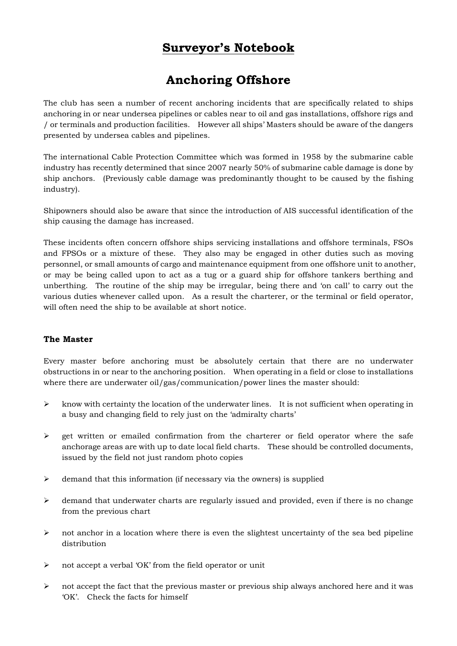## **Surveyor's Notebook**

# **Anchoring Offshore**

The club has seen a number of recent anchoring incidents that are specifically related to ships anchoring in or near undersea pipelines or cables near to oil and gas installations, offshore rigs and / or terminals and production facilities. However all ships' Masters should be aware of the dangers presented by undersea cables and pipelines.

The international Cable Protection Committee which was formed in 1958 by the submarine cable industry has recently determined that since 2007 nearly 50% of submarine cable damage is done by ship anchors. (Previously cable damage was predominantly thought to be caused by the fishing industry).

Shipowners should also be aware that since the introduction of AIS successful identification of the ship causing the damage has increased.

These incidents often concern offshore ships servicing installations and offshore terminals, FSOs and FPSOs or a mixture of these. They also may be engaged in other duties such as moving personnel, or small amounts of cargo and maintenance equipment from one offshore unit to another, or may be being called upon to act as a tug or a guard ship for offshore tankers berthing and unberthing. The routine of the ship may be irregular, being there and 'on call' to carry out the various duties whenever called upon. As a result the charterer, or the terminal or field operator, will often need the ship to be available at short notice.

### **The Master**

Every master before anchoring must be absolutely certain that there are no underwater obstructions in or near to the anchoring position. When operating in a field or close to installations where there are underwater oil/gas/communication/power lines the master should:

- $\triangleright$  know with certainty the location of the underwater lines. It is not sufficient when operating in a busy and changing field to rely just on the 'admiralty charts'
- $\triangleright$  get written or emailed confirmation from the charterer or field operator where the safe anchorage areas are with up to date local field charts. These should be controlled documents, issued by the field not just random photo copies
- $\geq$  demand that this information (if necessary via the owners) is supplied
- $\triangleright$  demand that underwater charts are regularly issued and provided, even if there is no change from the previous chart
- $\triangleright$  not anchor in a location where there is even the slightest uncertainty of the sea bed pipeline distribution
- ¾ not accept a verbal 'OK' from the field operator or unit
- $\triangleright$  not accept the fact that the previous master or previous ship always anchored here and it was 'OK'. Check the facts for himself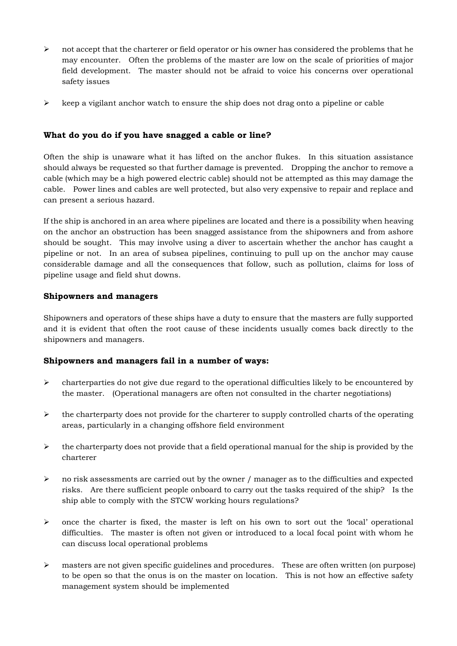- $\triangleright$  not accept that the charterer or field operator or his owner has considered the problems that he may encounter. Often the problems of the master are low on the scale of priorities of major field development. The master should not be afraid to voice his concerns over operational safety issues
- $\triangleright$  keep a vigilant anchor watch to ensure the ship does not drag onto a pipeline or cable

#### **What do you do if you have snagged a cable or line?**

Often the ship is unaware what it has lifted on the anchor flukes. In this situation assistance should always be requested so that further damage is prevented. Dropping the anchor to remove a cable (which may be a high powered electric cable) should not be attempted as this may damage the cable. Power lines and cables are well protected, but also very expensive to repair and replace and can present a serious hazard.

If the ship is anchored in an area where pipelines are located and there is a possibility when heaving on the anchor an obstruction has been snagged assistance from the shipowners and from ashore should be sought. This may involve using a diver to ascertain whether the anchor has caught a pipeline or not. In an area of subsea pipelines, continuing to pull up on the anchor may cause considerable damage and all the consequences that follow, such as pollution, claims for loss of pipeline usage and field shut downs.

#### **Shipowners and managers**

Shipowners and operators of these ships have a duty to ensure that the masters are fully supported and it is evident that often the root cause of these incidents usually comes back directly to the shipowners and managers.

#### **Shipowners and managers fail in a number of ways:**

- $\triangleright$  charterparties do not give due regard to the operational difficulties likely to be encountered by the master. (Operational managers are often not consulted in the charter negotiations)
- $\triangleright$  the charterparty does not provide for the charterer to supply controlled charts of the operating areas, particularly in a changing offshore field environment
- $\triangleright$  the charterparty does not provide that a field operational manual for the ship is provided by the charterer
- $\triangleright$  no risk assessments are carried out by the owner / manager as to the difficulties and expected risks. Are there sufficient people onboard to carry out the tasks required of the ship? Is the ship able to comply with the STCW working hours regulations?
- $\triangleright$  once the charter is fixed, the master is left on his own to sort out the 'local' operational difficulties. The master is often not given or introduced to a local focal point with whom he can discuss local operational problems
- $\triangleright$  masters are not given specific guidelines and procedures. These are often written (on purpose) to be open so that the onus is on the master on location. This is not how an effective safety management system should be implemented